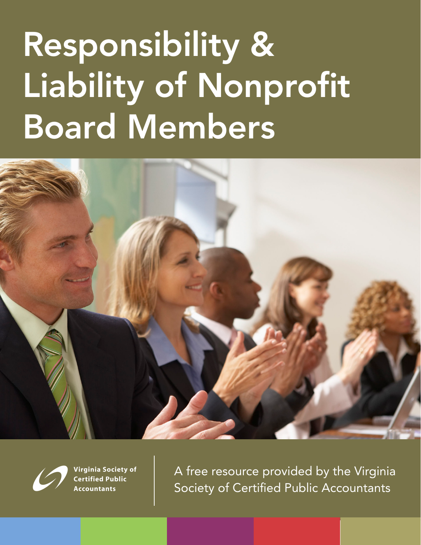# Responsibility & Liability of Nonprofit Board Members





Virginia Society of **Certified Public Accountants** 

A free resource provided by the Virginia Society of Certified Public Accountants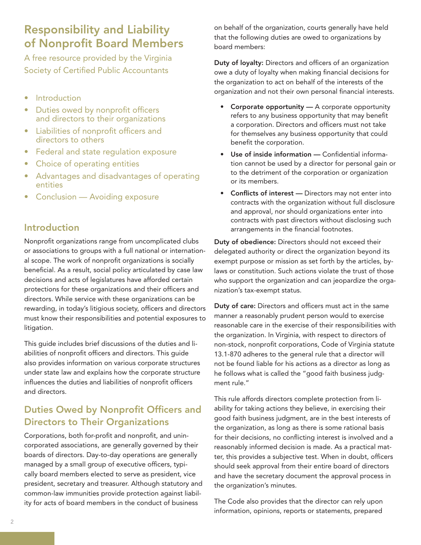# Responsibility and Liability of Nonprofit Board Members

A free resource provided by the Virginia Society of Certified Public Accountants

- Introduction
- Duties owed by nonprofit officers and directors to their organizations
- • Liabilities of nonprofit officers and directors to others
- **Federal and state regulation exposure**
- Choice of operating entities
- Advantages and disadvantages of operating entities
- **Conclusion Avoiding exposure**

#### Introduction

Nonprofit organizations range from uncomplicated clubs or associations to groups with a full national or international scope. The work of nonprofit organizations is socially beneficial. As a result, social policy articulated by case law decisions and acts of legislatures have afforded certain protections for these organizations and their officers and directors. While service with these organizations can be rewarding, in today's litigious society, officers and directors must know their responsibilities and potential exposures to litigation.

This guide includes brief discussions of the duties and liabilities of nonprofit officers and directors. This guide also provides information on various corporate structures under state law and explains how the corporate structure influences the duties and liabilities of nonprofit officers and directors.

# Duties Owed by Nonprofit Officers and Directors to Their Organizations

Corporations, both for-profit and nonprofit, and unincorporated associations, are generally governed by their boards of directors. Day-to-day operations are generally managed by a small group of executive officers, typically board members elected to serve as president, vice president, secretary and treasurer. Although statutory and common-law immunities provide protection against liability for acts of board members in the conduct of business

on behalf of the organization, courts generally have held that the following duties are owed to organizations by board members:

Duty of loyalty: Directors and officers of an organization owe a duty of loyalty when making financial decisions for the organization to act on behalf of the interests of the organization and not their own personal financial interests.

- Corporate opportunity A corporate opportunity refers to any business opportunity that may benefit a corporation. Directors and officers must not take for themselves any business opportunity that could benefit the corporation.
- Use of inside information Confidential information cannot be used by a director for personal gain or to the detriment of the corporation or organization or its members.
- Conflicts of interest Directors may not enter into contracts with the organization without full disclosure and approval, nor should organizations enter into contracts with past directors without disclosing such arrangements in the financial footnotes.

Duty of obedience: Directors should not exceed their delegated authority or direct the organization beyond its exempt purpose or mission as set forth by the articles, bylaws or constitution. Such actions violate the trust of those who support the organization and can jeopardize the organization's tax-exempt status.

Duty of care: Directors and officers must act in the same manner a reasonably prudent person would to exercise reasonable care in the exercise of their responsibilities with the organization. In Virginia, with respect to directors of non-stock, nonprofit corporations, Code of Virginia statute 13.1-870 adheres to the general rule that a director will not be found liable for his actions as a director as long as he follows what is called the "good faith business judgment rule."

This rule affords directors complete protection from liability for taking actions they believe, in exercising their good faith business judgment, are in the best interests of the organization, as long as there is some rational basis for their decisions, no conflicting interest is involved and a reasonably informed decision is made. As a practical matter, this provides a subjective test. When in doubt, officers should seek approval from their entire board of directors and have the secretary document the approval process in the organization's minutes.

The Code also provides that the director can rely upon information, opinions, reports or statements, prepared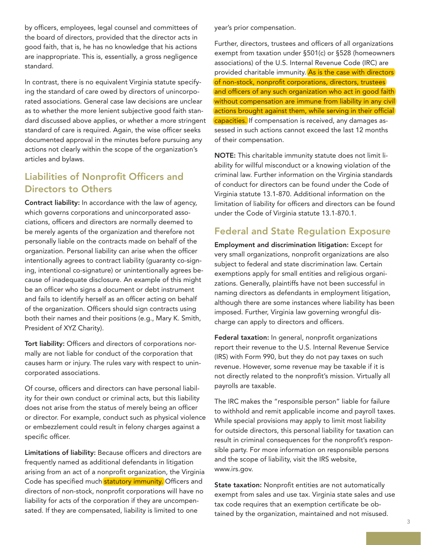by officers, employees, legal counsel and committees of the board of directors, provided that the director acts in good faith, that is, he has no knowledge that his actions are inappropriate. This is, essentially, a gross negligence standard.

In contrast, there is no equivalent Virginia statute specifying the standard of care owed by directors of unincorporated associations. General case law decisions are unclear as to whether the more lenient subjective good faith standard discussed above applies, or whether a more stringent standard of care is required. Again, the wise officer seeks documented approval in the minutes before pursuing any actions not clearly within the scope of the organization's articles and bylaws.

# Liabilities of Nonprofit Officers and Directors to Others

Contract liability: In accordance with the law of agency, which governs corporations and unincorporated associations, officers and directors are normally deemed to be merely agents of the organization and therefore not personally liable on the contracts made on behalf of the organization. Personal liability can arise when the officer intentionally agrees to contract liability (guaranty co-signing, intentional co-signature) or unintentionally agrees because of inadequate disclosure. An example of this might be an officer who signs a document or debt instrument and fails to identify herself as an officer acting on behalf of the organization. Officers should sign contracts using both their names and their positions (e.g., Mary K. Smith, President of XYZ Charity).

Tort liability: Officers and directors of corporations normally are not liable for conduct of the corporation that causes harm or injury. The rules vary with respect to unincorporated associations.

Of course, officers and directors can have personal liability for their own conduct or criminal acts, but this liability does not arise from the status of merely being an officer or director. For example, conduct such as physical violence or embezzlement could result in felony charges against a specific officer.

Limitations of liability: Because officers and directors are frequently named as additional defendants in litigation arising from an act of a nonprofit organization, the Virginia Code has specified much statutory immunity. Officers and directors of non-stock, nonprofit corporations will have no liability for acts of the corporation if they are uncompensated. If they are compensated, liability is limited to one

year's prior compensation.

Further, directors, trustees and officers of all organizations exempt from taxation under §501(c) or §528 (homeowners associations) of the U.S. Internal Revenue Code (IRC) are provided charitable immunity. As is the case with directors of non-stock, nonprofit corporations, directors, trustees and officers of any such organization who act in good faith without compensation are immune from liability in any civil actions brought against them, while serving in their official capacities. If compensation is received, any damages assessed in such actions cannot exceed the last 12 months of their compensation.

NOTE: This charitable immunity statute does not limit liability for willful misconduct or a knowing violation of the criminal law. Further information on the Virginia standards of conduct for directors can be found under the Code of Virginia statute 13.1-870. Additional information on the limitation of liability for officers and directors can be found under the Code of Virginia statute 13.1-870.1.

#### Federal and State Regulation Exposure

Employment and discrimination litigation: Except for very small organizations, nonprofit organizations are also subject to federal and state discrimination law. Certain exemptions apply for small entities and religious organizations. Generally, plaintiffs have not been successful in naming directors as defendants in employment litigation, although there are some instances where liability has been imposed. Further, Virginia law governing wrongful discharge can apply to directors and officers.

Federal taxation: In general, nonprofit organizations report their revenue to the U.S. Internal Revenue Service (IRS) with Form 990, but they do not pay taxes on such revenue. However, some revenue may be taxable if it is not directly related to the nonprofit's mission. Virtually all payrolls are taxable.

The IRC makes the "responsible person" liable for failure to withhold and remit applicable income and payroll taxes. While special provisions may apply to limit most liability for outside directors, this personal liability for taxation can result in criminal consequences for the nonprofit's responsible party. For more information on responsible persons and the scope of liability, visit the IRS website, www.irs.gov.

State taxation: Nonprofit entities are not automatically exempt from sales and use tax. Virginia state sales and use tax code requires that an exemption certificate be obtained by the organization, maintained and not misused.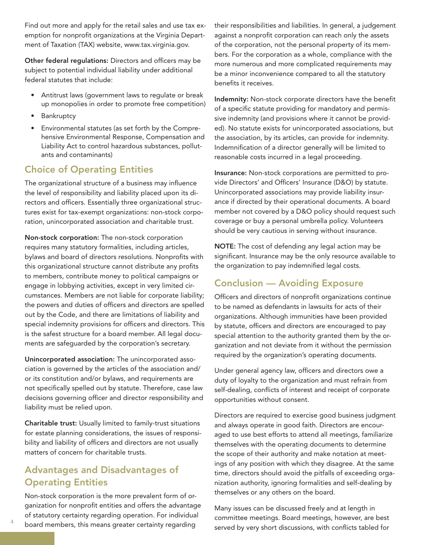Find out more and apply for the retail sales and use tax exemption for nonprofit organizations at the Virginia Department of Taxation (TAX) website, www.tax.virginia.gov.

Other federal regulations: Directors and officers may be subject to potential individual liability under additional federal statutes that include:

- Antitrust laws (government laws to regulate or break up monopolies in order to promote free competition)
- • Bankruptcy
- • Environmental statutes (as set forth by the Comprehensive Environmental Response, Compensation and Liability Act to control hazardous substances, pollutants and contaminants)

# Choice of Operating Entities

The organizational structure of a business may influence the level of responsibility and liability placed upon its directors and officers. Essentially three organizational structures exist for tax-exempt organizations: non-stock corporation, unincorporated association and charitable trust.

Non-stock corporation: The non-stock corporation requires many statutory formalities, including articles, bylaws and board of directors resolutions. Nonprofits with this organizational structure cannot distribute any profits to members, contribute money to political campaigns or engage in lobbying activities, except in very limited circumstances. Members are not liable for corporate liability; the powers and duties of officers and directors are spelled out by the Code, and there are limitations of liability and special indemnity provisions for officers and directors. This is the safest structure for a board member. All legal documents are safeguarded by the corporation's secretary.

Unincorporated association: The unincorporated association is governed by the articles of the association and/ or its constitution and/or bylaws, and requirements are not specifically spelled out by statute. Therefore, case law decisions governing officer and director responsibility and liability must be relied upon.

Charitable trust: Usually limited to family-trust situations for estate planning considerations, the issues of responsibility and liability of officers and directors are not usually matters of concern for charitable trusts.

# Advantages and Disadvantages of Operating Entities

Non-stock corporation is the more prevalent form of organization for nonprofit entities and offers the advantage of statutory certainty regarding operation. For individual board members, this means greater certainty regarding

their responsibilities and liabilities. In general, a judgement against a nonprofit corporation can reach only the assets of the corporation, not the personal property of its members. For the corporation as a whole, compliance with the more numerous and more complicated requirements may be a minor inconvenience compared to all the statutory benefits it receives.

Indemnity: Non-stock corporate directors have the benefit of a specific statute providing for mandatory and permissive indemnity (and provisions where it cannot be provided). No statute exists for unincorporated associations, but the association, by its articles, can provide for indemnity. Indemnification of a director generally will be limited to reasonable costs incurred in a legal proceeding.

Insurance: Non-stock corporations are permitted to provide Directors' and Officers' Insurance (D&O) by statute. Unincorporated associations may provide liability insurance if directed by their operational documents. A board member not covered by a D&O policy should request such coverage or buy a personal umbrella policy. Volunteers should be very cautious in serving without insurance.

NOTE: The cost of defending any legal action may be significant. Insurance may be the only resource available to the organization to pay indemnified legal costs.

### Conclusion — Avoiding Exposure

Officers and directors of nonprofit organizations continue to be named as defendants in lawsuits for acts of their organizations. Although immunities have been provided by statute, officers and directors are encouraged to pay special attention to the authority granted them by the organization and not deviate from it without the permission required by the organization's operating documents.

Under general agency law, officers and directors owe a duty of loyalty to the organization and must refrain from self-dealing, conflicts of interest and receipt of corporate opportunities without consent.

Directors are required to exercise good business judgment and always operate in good faith. Directors are encouraged to use best efforts to attend all meetings, familiarize themselves with the operating documents to determine the scope of their authority and make notation at meetings of any position with which they disagree. At the same time, directors should avoid the pitfalls of exceeding organization authority, ignoring formalities and self-dealing by themselves or any others on the board.

Many issues can be discussed freely and at length in committee meetings. Board meetings, however, are best served by very short discussions, with conflicts tabled for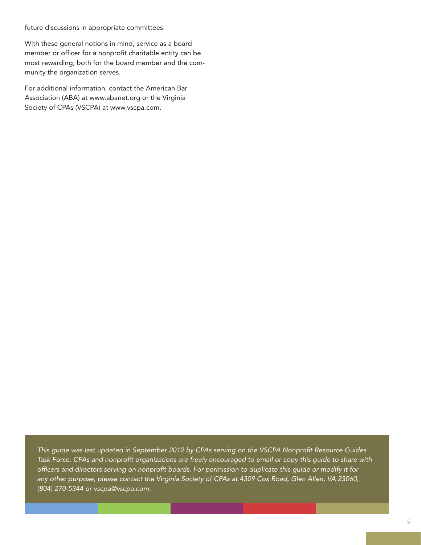future discussions in appropriate committees.

With these general notions in mind, service as a board member or officer for a nonprofit charitable entity can be most rewarding, both for the board member and the community the organization serves.

For additional information, contact the American Bar Association (ABA) at www.abanet.org or the Virginia Society of CPAs (VSCPA) at www.vscpa.com.

*This guide was last updated in September 2012 by CPAs serving on the VSCPA Nonprofit Resource Guides Task Force. CPAs and nonprofit organizations are freely encouraged to email or copy this guide to share with officers and directors serving on nonprofit boards. For permission to duplicate this guide or modify it for any other purpose, please contact the Virginia Society of CPAs at 4309 Cox Road, Glen Allen, VA 23060, (804) 270-5344 or vscpa@vscpa.com.*